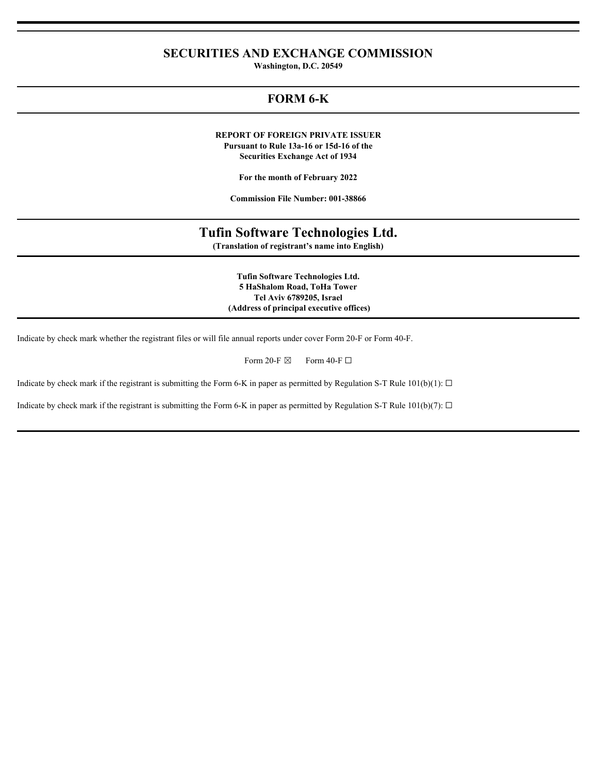# **SECURITIES AND EXCHANGE COMMISSION**

**Washington, D.C. 20549**

# **FORM 6-K**

**REPORT OF FOREIGN PRIVATE ISSUER Pursuant to Rule 13a-16 or 15d-16 of the**

**Securities Exchange Act of 1934**

**For the month of February 2022**

**Commission File Number: 001-38866**

# **Tufin Software Technologies Ltd.**

**(Translation of registrant's name into English)**

**Tufin Software Technologies Ltd. 5 HaShalom Road, ToHa Tower Tel Aviv 6789205, Israel (Address of principal executive offices)**

Indicate by check mark whether the registrant files or will file annual reports under cover Form 20-F or Form 40-F.

Form 20-F  $\boxtimes$  Form 40-F  $\Box$ 

Indicate by check mark if the registrant is submitting the Form 6-K in paper as permitted by Regulation S-T Rule 101(b)(1):  $\Box$ 

Indicate by check mark if the registrant is submitting the Form 6-K in paper as permitted by Regulation S-T Rule 101(b)(7):  $\Box$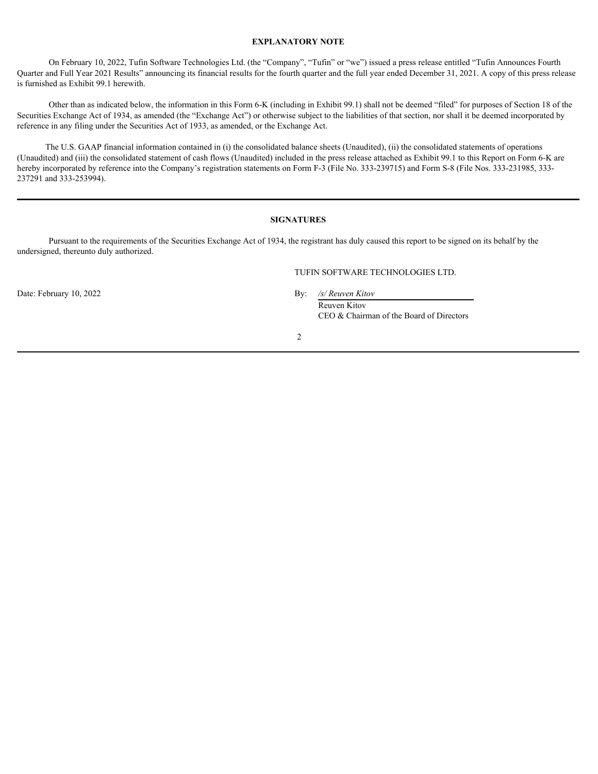#### **EXPLANATORY NOTE**

On February 10, 2022, Tufin Software Technologies Ltd. (the "Company", "Tufin" or "we") issued a press release entitled "Tufin Announces Fourth Quarter and Full Year 2021 Results" announcing its financial results for the fourth quarter and the full year ended December 31, 2021. A copy of this press release is furnished as Exhibit 99.1 herewith.

Other than as indicated below, the information in this Form 6-K (including in Exhibit 99.1) shall not be deemed "filed" for purposes of Section 18 of the Securities Exchange Act of 1934, as amended (the "Exchange Act") or otherwise subject to the liabilities of that section, nor shall it be deemed incorporated by reference in any filing under the Securities Act of 1933, as amended, or the Exchange Act.

The U.S. GAAP financial information contained in (i) the consolidated balance sheets (Unaudited), (ii) the consolidated statements of operations (Unaudited) and (iii) the consolidated statement of cash flows (Unaudited) included in the press release attached as Exhibit 99.1 to this Report on Form 6-K are hereby incorporated by reference into the Company's registration statements on Form F-3 (File No. 333-239715) and Form S-8 (File Nos. 333-231985, 333-237291 and 333-253994).

#### **SIGNATURES**

Pursuant to the requirements of the Securities Exchange Act of 1934, the registrant has duly caused this report to be signed on its behalf by the undersigned, thereunto duly authorized.

TUFIN SOFTWARE TECHNOLOGIES LTD.

Reuven Kitov CEO & Chairman of the Board of Directors

2

Date: February 10, 2022 By: */s/ Reuven Kitov*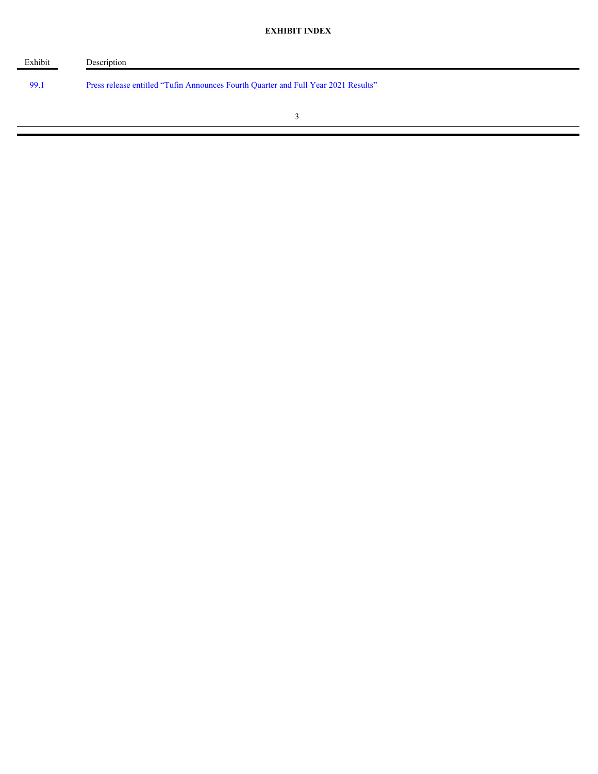| Exhibit | Description                                                                        |
|---------|------------------------------------------------------------------------------------|
| 99.     | Press release entitled "Tufin Announces Fourth Quarter and Full Year 2021 Results" |
|         |                                                                                    |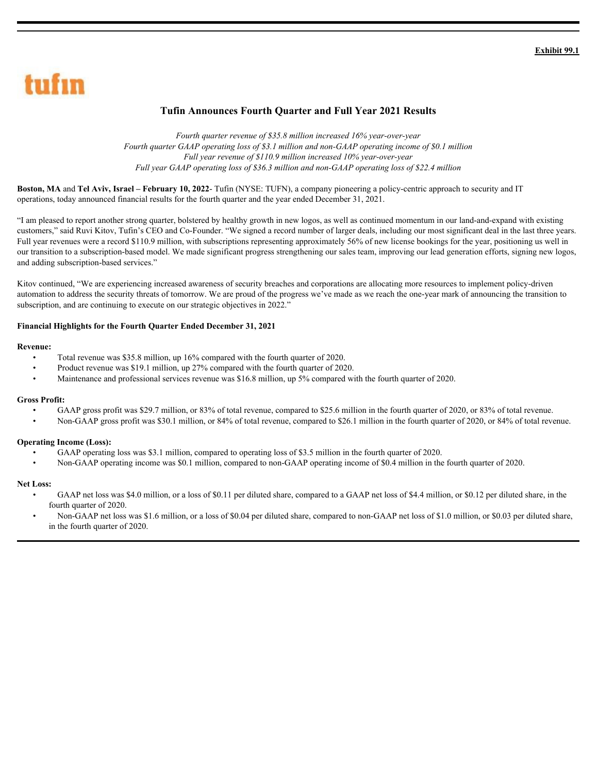<span id="page-3-0"></span>

### **Tufin Announces Fourth Quarter and Full Year 2021 Results**

*Fourth quarter revenue of \$35.8 million increased 16% year-over-year Fourth quarter GAAP operating loss of \$3.1 million and non-GAAP operating income of \$0.1 million Full year revenue of \$110.9 million increased 10% year-over-year Full year GAAP operating loss of \$36.3 million and non-GAAP operating loss of \$22.4 million*

**Boston, MA** and **Tel Aviv, Israel – February 10, 2022**- Tufin (NYSE: TUFN), a company pioneering a policy-centric approach to security and IT operations, today announced financial results for the fourth quarter and the year ended December 31, 2021.

"I am pleased to report another strong quarter, bolstered by healthy growth in new logos, as well as continued momentum in our land-and-expand with existing customers," said Ruvi Kitov, Tufin's CEO and Co-Founder. "We signed a record number of larger deals, including our most significant deal in the last three years. Full year revenues were a record \$110.9 million, with subscriptions representing approximately 56% of new license bookings for the year, positioning us well in our transition to a subscription-based model. We made significant progress strengthening our sales team, improving our lead generation efforts, signing new logos, and adding subscription-based services."

Kitov continued, "We are experiencing increased awareness of security breaches and corporations are allocating more resources to implement policy-driven automation to address the security threats of tomorrow. We are proud of the progress we've made as we reach the one-year mark of announcing the transition to subscription, and are continuing to execute on our strategic objectives in 2022."

#### **Financial Highlights for the Fourth Quarter Ended December 31, 2021**

#### **Revenue:**

- Total revenue was \$35.8 million, up 16% compared with the fourth quarter of 2020.
- Product revenue was \$19.1 million, up 27% compared with the fourth quarter of 2020.
- Maintenance and professional services revenue was \$16.8 million, up 5% compared with the fourth quarter of 2020.

#### **Gross Profit:**

- GAAP gross profit was \$29.7 million, or 83% of total revenue, compared to \$25.6 million in the fourth quarter of 2020, or 83% of total revenue.
- Non-GAAP gross profit was \$30.1 million, or 84% of total revenue, compared to \$26.1 million in the fourth quarter of 2020, or 84% of total revenue.

#### **Operating Income (Loss):**

- GAAP operating loss was \$3.1 million, compared to operating loss of \$3.5 million in the fourth quarter of 2020.
- Non-GAAP operating income was \$0.1 million, compared to non-GAAP operating income of \$0.4 million in the fourth quarter of 2020.

#### **Net Loss:**

- GAAP net loss was \$4.0 million, or a loss of \$0.11 per diluted share, compared to a GAAP net loss of \$4.4 million, or \$0.12 per diluted share, in the fourth quarter of 2020.
- Non-GAAP net loss was \$1.6 million, or a loss of \$0.04 per diluted share, compared to non-GAAP net loss of \$1.0 million, or \$0.03 per diluted share, in the fourth quarter of 2020.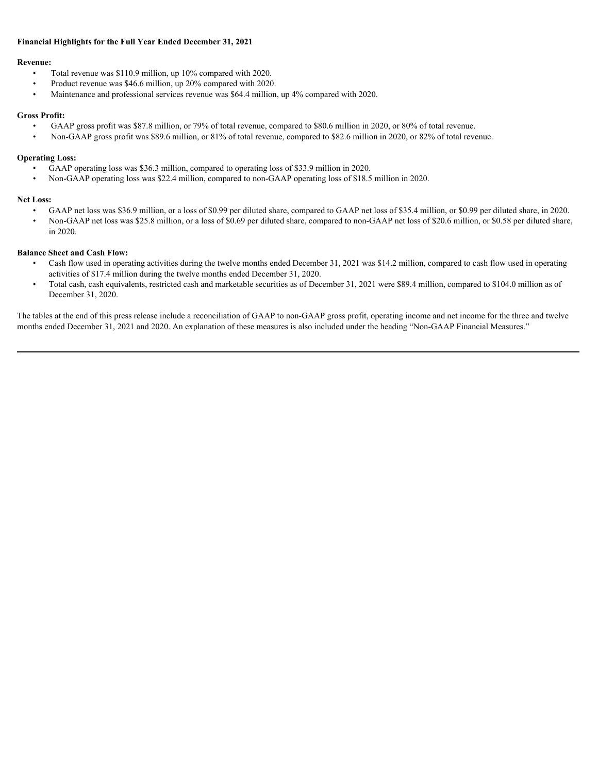#### **Financial Highlights for the Full Year Ended December 31, 2021**

#### **Revenue:**

- Total revenue was \$110.9 million, up 10% compared with 2020.
- Product revenue was \$46.6 million, up 20% compared with 2020.
- Maintenance and professional services revenue was \$64.4 million, up 4% compared with 2020.

#### **Gross Profit:**

- GAAP gross profit was \$87.8 million, or 79% of total revenue, compared to \$80.6 million in 2020, or 80% of total revenue.
- Non-GAAP gross profit was \$89.6 million, or 81% of total revenue, compared to \$82.6 million in 2020, or 82% of total revenue.

#### **Operating Loss:**

- GAAP operating loss was \$36.3 million, compared to operating loss of \$33.9 million in 2020.
- Non-GAAP operating loss was \$22.4 million, compared to non-GAAP operating loss of \$18.5 million in 2020.

#### **Net Loss:**

- GAAP net loss was \$36.9 million, or a loss of \$0.99 per diluted share, compared to GAAP net loss of \$35.4 million, or \$0.99 per diluted share, in 2020.
- Non-GAAP net loss was \$25.8 million, or a loss of \$0.69 per diluted share, compared to non-GAAP net loss of \$20.6 million, or \$0.58 per diluted share, in 2020.

#### **Balance Sheet and Cash Flow:**

- Cash flow used in operating activities during the twelve months ended December 31, 2021 was \$14.2 million, compared to cash flow used in operating activities of \$17.4 million during the twelve months ended December 31, 2020.
- Total cash, cash equivalents, restricted cash and marketable securities as of December 31, 2021 were \$89.4 million, compared to \$104.0 million as of December 31, 2020.

The tables at the end of this press release include a reconciliation of GAAP to non-GAAP gross profit, operating income and net income for the three and twelve months ended December 31, 2021 and 2020. An explanation of these measures is also included under the heading "Non-GAAP Financial Measures."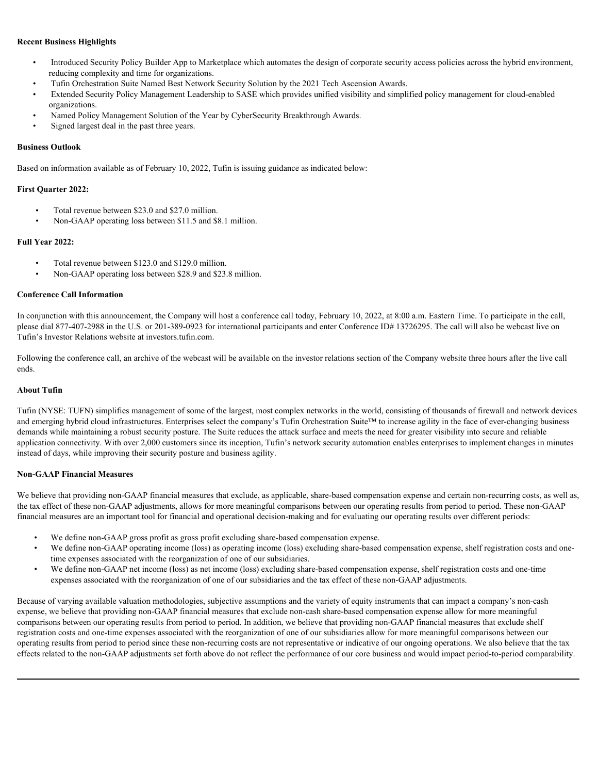#### **Recent Business Highlights**

- Introduced Security Policy Builder App to Marketplace which automates the design of corporate security access policies across the hybrid environment, reducing complexity and time for organizations.
- Tufin Orchestration Suite Named Best Network Security Solution by the 2021 Tech Ascension Awards.
- Extended Security Policy Management Leadership to SASE which provides unified visibility and simplified policy management for cloud-enabled organizations.
- Named Policy Management Solution of the Year by CyberSecurity Breakthrough Awards.
- Signed largest deal in the past three years.

#### **Business Outlook**

Based on information available as of February 10, 2022, Tufin is issuing guidance as indicated below:

#### **First Quarter 2022:**

- Total revenue between \$23.0 and \$27.0 million.
- Non-GAAP operating loss between \$11.5 and \$8.1 million.

#### **Full Year 2022:**

- Total revenue between \$123.0 and \$129.0 million.
- Non-GAAP operating loss between \$28.9 and \$23.8 million.

#### **Conference Call Information**

In conjunction with this announcement, the Company will host a conference call today, February 10, 2022, at 8:00 a.m. Eastern Time. To participate in the call, please dial 877-407-2988 in the U.S. or 201-389-0923 for international participants and enter Conference ID# 13726295. The call will also be webcast live on Tufin's Investor Relations website at investors.tufin.com.

Following the conference call, an archive of the webcast will be available on the investor relations section of the Company website three hours after the live call ends.

#### **About Tufin**

Tufin (NYSE: TUFN) simplifies management of some of the largest, most complex networks in the world, consisting of thousands of firewall and network devices and emerging hybrid cloud infrastructures. Enterprises select the company's Tufin Orchestration Suite™ to increase agility in the face of ever-changing business demands while maintaining a robust security posture. The Suite reduces the attack surface and meets the need for greater visibility into secure and reliable application connectivity. With over 2,000 customers since its inception, Tufin's network security automation enables enterprises to implement changes in minutes instead of days, while improving their security posture and business agility.

#### **Non-GAAP Financial Measures**

We believe that providing non-GAAP financial measures that exclude, as applicable, share-based compensation expense and certain non-recurring costs, as well as, the tax effect of these non-GAAP adjustments, allows for more meaningful comparisons between our operating results from period to period. These non-GAAP financial measures are an important tool for financial and operational decision-making and for evaluating our operating results over different periods:

- We define non-GAAP gross profit as gross profit excluding share-based compensation expense.
- We define non-GAAP operating income (loss) as operating income (loss) excluding share-based compensation expense, shelf registration costs and onetime expenses associated with the reorganization of one of our subsidiaries.
- We define non-GAAP net income (loss) as net income (loss) excluding share-based compensation expense, shelf registration costs and one-time expenses associated with the reorganization of one of our subsidiaries and the tax effect of these non-GAAP adjustments.

Because of varying available valuation methodologies, subjective assumptions and the variety of equity instruments that can impact a company's non-cash expense, we believe that providing non-GAAP financial measures that exclude non-cash share-based compensation expense allow for more meaningful comparisons between our operating results from period to period. In addition, we believe that providing non-GAAP financial measures that exclude shelf registration costs and one-time expenses associated with the reorganization of one of our subsidiaries allow for more meaningful comparisons between our operating results from period to period since these non-recurring costs are not representative or indicative of our ongoing operations. We also believe that the tax effects related to the non-GAAP adjustments set forth above do not reflect the performance of our core business and would impact period-to-period comparability.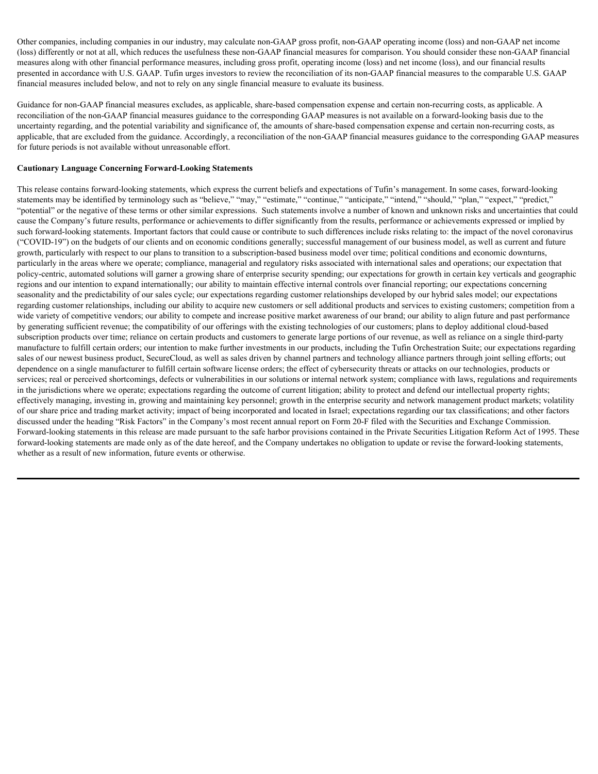Other companies, including companies in our industry, may calculate non-GAAP gross profit, non-GAAP operating income (loss) and non-GAAP net income (loss) differently or not at all, which reduces the usefulness these non-GAAP financial measures for comparison. You should consider these non-GAAP financial measures along with other financial performance measures, including gross profit, operating income (loss) and net income (loss), and our financial results presented in accordance with U.S. GAAP. Tufin urges investors to review the reconciliation of its non-GAAP financial measures to the comparable U.S. GAAP financial measures included below, and not to rely on any single financial measure to evaluate its business.

Guidance for non-GAAP financial measures excludes, as applicable, share-based compensation expense and certain non-recurring costs, as applicable. A reconciliation of the non-GAAP financial measures guidance to the corresponding GAAP measures is not available on a forward-looking basis due to the uncertainty regarding, and the potential variability and significance of, the amounts of share-based compensation expense and certain non-recurring costs, as applicable, that are excluded from the guidance. Accordingly, a reconciliation of the non-GAAP financial measures guidance to the corresponding GAAP measures for future periods is not available without unreasonable effort.

#### **Cautionary Language Concerning Forward-Looking Statements**

This release contains forward-looking statements, which express the current beliefs and expectations of Tufin's management. In some cases, forward-looking statements may be identified by terminology such as "believe," "may," "estimate," "continue," "anticipate," "intend," "should," "plan," "expect," "predict," "potential" or the negative of these terms or other similar expressions. Such statements involve a number of known and unknown risks and uncertainties that could cause the Company's future results, performance or achievements to differ significantly from the results, performance or achievements expressed or implied by such forward-looking statements. Important factors that could cause or contribute to such differences include risks relating to: the impact of the novel coronavirus ("COVID-19") on the budgets of our clients and on economic conditions generally; successful management of our business model, as well as current and future growth, particularly with respect to our plans to transition to a subscription-based business model over time; political conditions and economic downturns, particularly in the areas where we operate; compliance, managerial and regulatory risks associated with international sales and operations; our expectation that policy-centric, automated solutions will garner a growing share of enterprise security spending; our expectations for growth in certain key verticals and geographic regions and our intention to expand internationally; our ability to maintain effective internal controls over financial reporting; our expectations concerning seasonality and the predictability of our sales cycle; our expectations regarding customer relationships developed by our hybrid sales model; our expectations regarding customer relationships, including our ability to acquire new customers or sell additional products and services to existing customers; competition from a wide variety of competitive vendors; our ability to compete and increase positive market awareness of our brand; our ability to align future and past performance by generating sufficient revenue; the compatibility of our offerings with the existing technologies of our customers; plans to deploy additional cloud-based subscription products over time; reliance on certain products and customers to generate large portions of our revenue, as well as reliance on a single third-party manufacture to fulfill certain orders; our intention to make further investments in our products, including the Tufin Orchestration Suite; our expectations regarding sales of our newest business product, SecureCloud, as well as sales driven by channel partners and technology alliance partners through joint selling efforts; out dependence on a single manufacturer to fulfill certain software license orders; the effect of cybersecurity threats or attacks on our technologies, products or services; real or perceived shortcomings, defects or vulnerabilities in our solutions or internal network system; compliance with laws, regulations and requirements in the jurisdictions where we operate; expectations regarding the outcome of current litigation; ability to protect and defend our intellectual property rights; effectively managing, investing in, growing and maintaining key personnel; growth in the enterprise security and network management product markets; volatility of our share price and trading market activity; impact of being incorporated and located in Israel; expectations regarding our tax classifications; and other factors discussed under the heading "Risk Factors" in the Company's most recent annual report on Form 20-F filed with the Securities and Exchange Commission. Forward-looking statements in this release are made pursuant to the safe harbor provisions contained in the Private Securities Litigation Reform Act of 1995. These forward-looking statements are made only as of the date hereof, and the Company undertakes no obligation to update or revise the forward-looking statements, whether as a result of new information, future events or otherwise.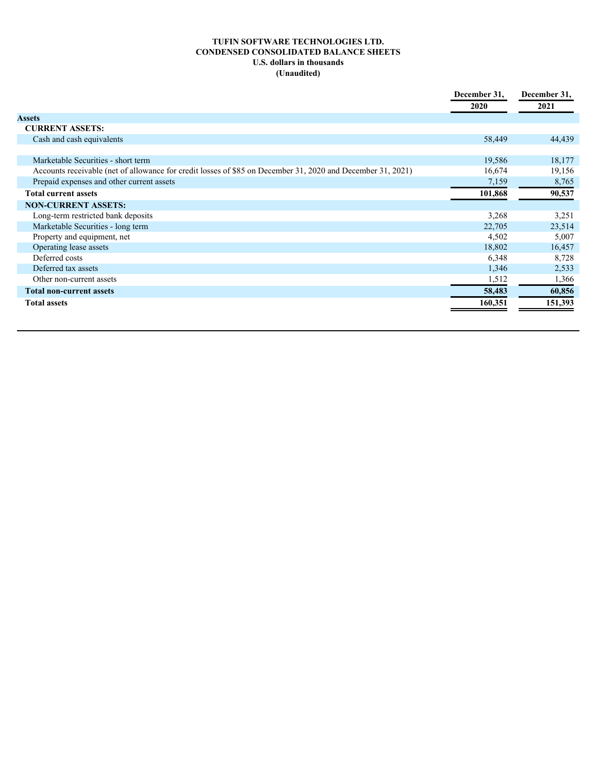#### **TUFIN SOFTWARE TECHNOLOGIES LTD. CONDENSED CONSOLIDATED BALANCE SHEETS U.S. dollars in thousands (Unaudited)**

|                                                                                                             | December 31. | December 31, |  |
|-------------------------------------------------------------------------------------------------------------|--------------|--------------|--|
|                                                                                                             | 2020         | 2021         |  |
| <b>Assets</b>                                                                                               |              |              |  |
| <b>CURRENT ASSETS:</b>                                                                                      |              |              |  |
| Cash and cash equivalents                                                                                   | 58,449       | 44,439       |  |
|                                                                                                             |              |              |  |
| Marketable Securities - short term                                                                          | 19,586       | 18,177       |  |
| Accounts receivable (net of allowance for credit losses of \$85 on December 31, 2020 and December 31, 2021) | 16,674       | 19,156       |  |
| Prepaid expenses and other current assets                                                                   | 7,159        | 8,765        |  |
| <b>Total current assets</b>                                                                                 | 101,868      | 90,537       |  |
| <b>NON-CURRENT ASSETS:</b>                                                                                  |              |              |  |
| Long-term restricted bank deposits                                                                          | 3,268        | 3,251        |  |
| Marketable Securities - long term                                                                           | 22,705       | 23,514       |  |
| Property and equipment, net                                                                                 | 4,502        | 5,007        |  |
| Operating lease assets                                                                                      | 18,802       | 16,457       |  |
| Deferred costs                                                                                              | 6,348        | 8,728        |  |
| Deferred tax assets                                                                                         | 1,346        | 2,533        |  |
| Other non-current assets                                                                                    | 1,512        | 1,366        |  |
| <b>Total non-current assets</b>                                                                             | 58,483       | 60,856       |  |
| <b>Total assets</b>                                                                                         | 160,351      | 151,393      |  |
|                                                                                                             |              |              |  |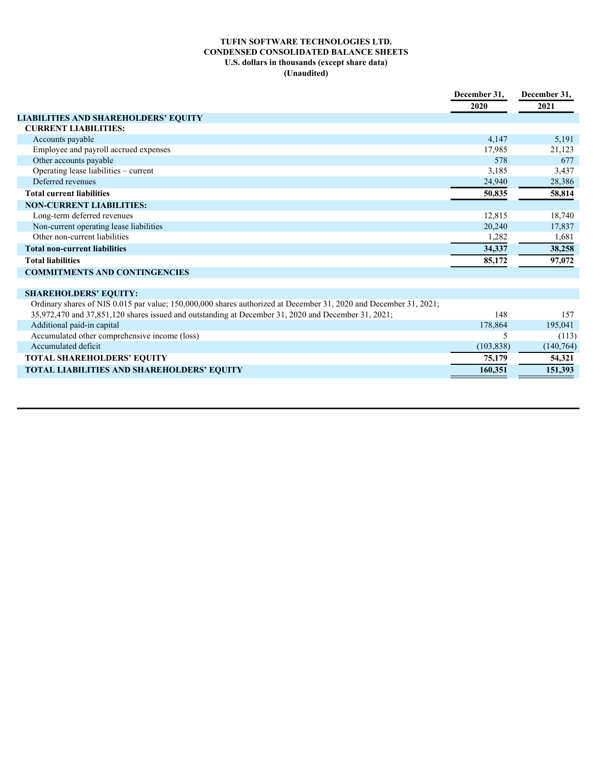#### **TUFIN SOFTWARE TECHNOLOGIES LTD. CONDENSED CONSOLIDATED BALANCE SHEETS U.S. dollars in thousands (except share data) (Unaudited)**

|                                                                                                                   | December 31. | December 31, |
|-------------------------------------------------------------------------------------------------------------------|--------------|--------------|
|                                                                                                                   | 2020         | 2021         |
| <b>LIABILITIES AND SHAREHOLDERS' EQUITY</b>                                                                       |              |              |
| <b>CURRENT LIABILITIES:</b>                                                                                       |              |              |
| Accounts payable                                                                                                  | 4,147        | 5,191        |
| Employee and payroll accrued expenses                                                                             | 17,985       | 21,123       |
| Other accounts payable                                                                                            | 578          | 677          |
| Operating lease liabilities - current                                                                             | 3,185        | 3,437        |
| Deferred revenues                                                                                                 | 24,940       | 28,386       |
| <b>Total current liabilities</b>                                                                                  | 50,835       | 58.814       |
| <b>NON-CURRENT LIABILITIES:</b>                                                                                   |              |              |
| Long-term deferred revenues                                                                                       | 12,815       | 18,740       |
| Non-current operating lease liabilities                                                                           | 20,240       | 17,837       |
| Other non-current liabilities                                                                                     | 1,282        | 1,681        |
| <b>Total non-current liabilities</b>                                                                              | 34,337       | 38,258       |
| <b>Total liabilities</b>                                                                                          | 85,172       | 97,072       |
| <b>COMMITMENTS AND CONTINGENCIES</b>                                                                              |              |              |
|                                                                                                                   |              |              |
| <b>SHAREHOLDERS' EQUITY:</b>                                                                                      |              |              |
| Ordinary shares of NIS 0.015 par value; 150,000,000 shares authorized at December 31, 2020 and December 31, 2021; |              |              |
| 35,972,470 and 37,851,120 shares issued and outstanding at December 31, 2020 and December 31, 2021;               | 148          | 157          |
| Additional paid-in capital                                                                                        | 178,864      | 195,041      |
| Accumulated other comprehensive income (loss)                                                                     | 5            | (113)        |
| Accumulated deficit                                                                                               | (103, 838)   | (140, 764)   |
| <b>TOTAL SHAREHOLDERS' EQUITY</b>                                                                                 | 75,179       | 54,321       |
| <b>TOTAL LIABILITIES AND SHAREHOLDERS' EQUITY</b>                                                                 | 160,351      | 151,393      |
|                                                                                                                   |              |              |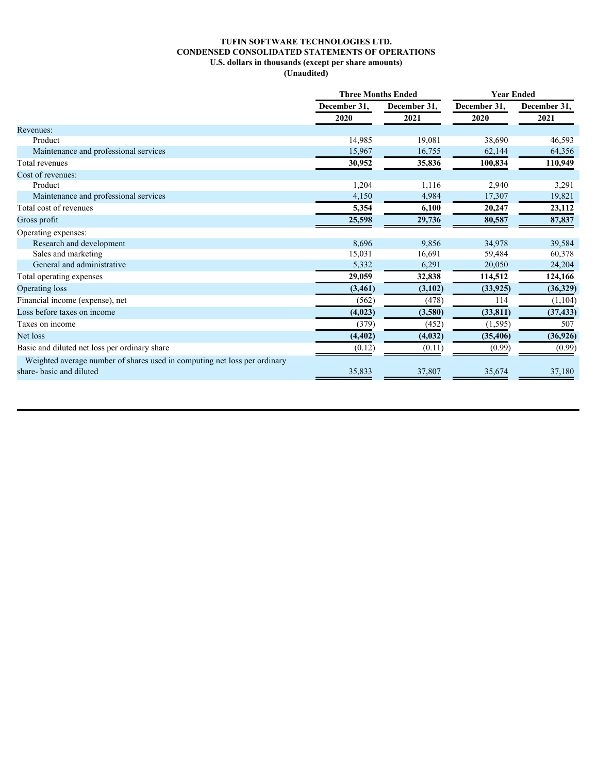### **TUFIN SOFTWARE TECHNOLOGIES LTD. CONDENSED CONSOLIDATED STATEMENTS OF OPERATIONS U.S. dollars in thousands (except per share amounts)**

**(Unaudited)**

|                                                                           | <b>Three Months Ended</b> |              | <b>Year Ended</b> |              |
|---------------------------------------------------------------------------|---------------------------|--------------|-------------------|--------------|
|                                                                           | December 31,              | December 31. | December 31,      | December 31, |
|                                                                           | 2020                      | 2021         | 2020              | 2021         |
| Revenues:                                                                 |                           |              |                   |              |
| Product                                                                   | 14,985                    | 19,081       | 38,690            | 46,593       |
| Maintenance and professional services                                     | 15,967                    | 16,755       | 62,144            | 64,356       |
| Total revenues                                                            | 30,952                    | 35,836       | 100,834           | 110,949      |
| Cost of revenues:                                                         |                           |              |                   |              |
| Product                                                                   | 1,204                     | 1,116        | 2,940             | 3,291        |
| Maintenance and professional services                                     | 4,150                     | 4,984        | 17,307            | 19,821       |
| Total cost of revenues                                                    | 5,354                     | 6,100        | 20,247            | 23,112       |
| Gross profit                                                              | 25,598                    | 29,736       | 80,587            | 87,837       |
| Operating expenses:                                                       |                           |              |                   |              |
| Research and development                                                  | 8,696                     | 9,856        | 34,978            | 39,584       |
| Sales and marketing                                                       | 15,031                    | 16,691       | 59,484            | 60,378       |
| General and administrative                                                | 5,332                     | 6,291        | 20,050            | 24,204       |
| Total operating expenses                                                  | 29,059                    | 32,838       | 114,512           | 124,166      |
| <b>Operating loss</b>                                                     | (3, 461)                  | (3, 102)     | (33, 925)         | (36,329)     |
| Financial income (expense), net                                           | (562)                     | (478)        | 114               | (1,104)      |
| Loss before taxes on income                                               | (4,023)                   | (3,580)      | (33, 811)         | (37, 433)    |
| Taxes on income                                                           | (379)                     | (452)        | (1, 595)          | 507          |
| Net loss                                                                  | (4, 402)                  | (4,032)      | (35, 406)         | (36, 926)    |
| Basic and diluted net loss per ordinary share                             | (0.12)                    | (0.11)       | (0.99)            | (0.99)       |
| Weighted average number of shares used in computing net loss per ordinary |                           |              |                   |              |
| share- basic and diluted                                                  | 35,833                    | 37,807       | 35,674            | 37,180       |
|                                                                           |                           |              |                   |              |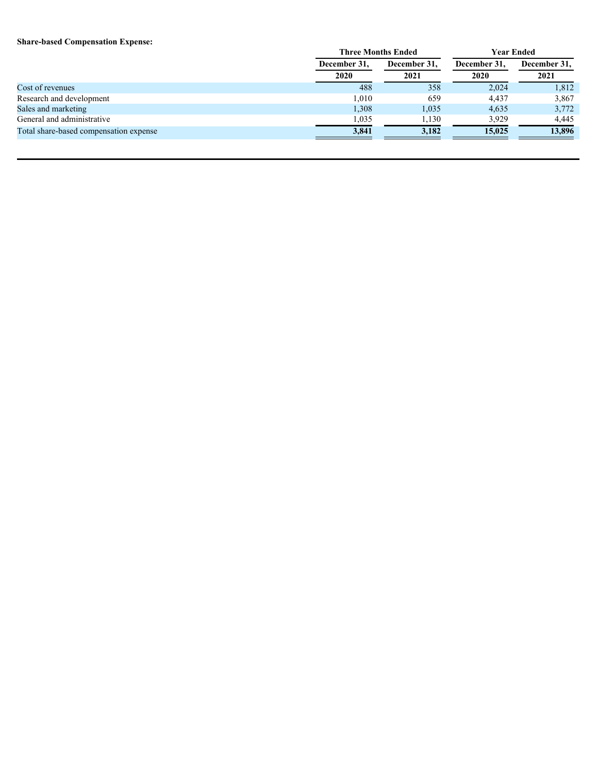### **Share-based Compensation Expense:**

|                                        |              | <b>Three Months Ended</b> |                      | <b>Year Ended</b>    |  |
|----------------------------------------|--------------|---------------------------|----------------------|----------------------|--|
|                                        | December 31, | December 31,<br>2021      | December 31,<br>2020 | December 31,<br>2021 |  |
|                                        | 2020         |                           |                      |                      |  |
| Cost of revenues                       | 488          | 358                       | 2,024                | 1,812                |  |
| Research and development               | 1,010        | 659                       | 4,437                | 3,867                |  |
| Sales and marketing                    | 1,308        | 1,035                     | 4,635                | 3,772                |  |
| General and administrative             | 1,035        | .,130                     | 3,929                | 4,445                |  |
| Total share-based compensation expense | 3,841        | 3,182                     | 15,025               | 13,896               |  |
|                                        |              |                           |                      |                      |  |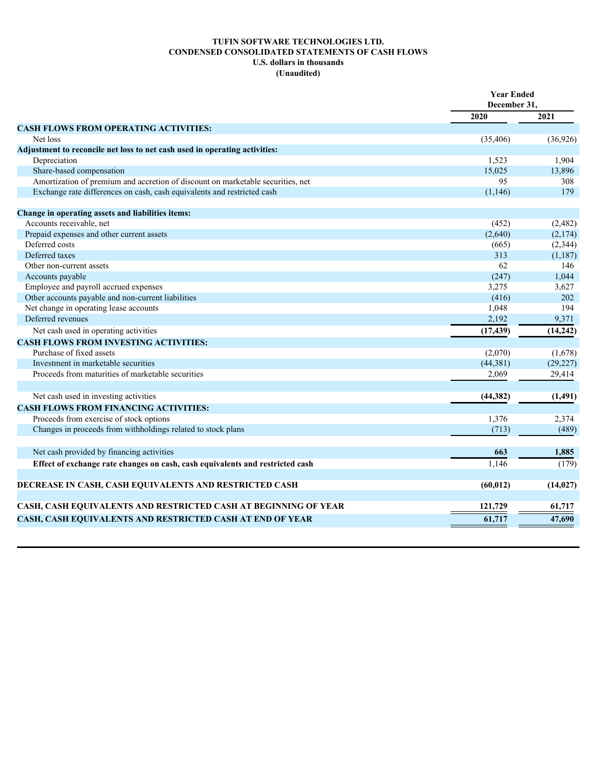#### **TUFIN SOFTWARE TECHNOLOGIES LTD. CONDENSED CONSOLIDATED STATEMENTS OF CASH FLOWS U.S. dollars in thousands (Unaudited)**

|                                                                                 | <b>Year Ended</b><br>December 31. |           |
|---------------------------------------------------------------------------------|-----------------------------------|-----------|
|                                                                                 | 2020                              | 2021      |
| <b>CASH FLOWS FROM OPERATING ACTIVITIES:</b>                                    |                                   |           |
| Net loss                                                                        | (35, 406)                         | (36, 926) |
| Adjustment to reconcile net loss to net cash used in operating activities:      |                                   |           |
| Depreciation                                                                    | 1,523                             | 1,904     |
| Share-based compensation                                                        | 15,025                            | 13,896    |
| Amortization of premium and accretion of discount on marketable securities, net | 95                                | 308       |
| Exchange rate differences on cash, cash equivalents and restricted cash         | (1,146)                           | 179       |
| Change in operating assets and liabilities items:                               |                                   |           |
| Accounts receivable, net                                                        | (452)                             | (2, 482)  |
| Prepaid expenses and other current assets                                       | (2,640)                           | (2,174)   |
| Deferred costs                                                                  | (665)                             | (2,344)   |
| Deferred taxes                                                                  | 313                               | (1,187)   |
| Other non-current assets                                                        | 62                                | 146       |
| Accounts payable                                                                | (247)                             | 1,044     |
| Employee and payroll accrued expenses                                           | 3,275                             | 3,627     |
| Other accounts payable and non-current liabilities                              | (416)                             | 202       |
| Net change in operating lease accounts                                          | 1,048                             | 194       |
| Deferred revenues                                                               | 2,192                             | 9,371     |
| Net cash used in operating activities                                           | (17, 439)                         | (14, 242) |
| <b>CASH FLOWS FROM INVESTING ACTIVITIES:</b>                                    |                                   |           |
| Purchase of fixed assets                                                        | (2,070)                           | (1,678)   |
| Investment in marketable securities                                             | (44,381)                          | (29, 227) |
| Proceeds from maturities of marketable securities                               | 2,069                             | 29,414    |
|                                                                                 |                                   |           |
| Net cash used in investing activities                                           | (44, 382)                         | (1, 491)  |
| <b>CASH FLOWS FROM FINANCING ACTIVITIES:</b>                                    |                                   |           |
| Proceeds from exercise of stock options                                         | 1,376                             | 2,374     |
| Changes in proceeds from withholdings related to stock plans                    | (713)                             | (489)     |
| Net cash provided by financing activities                                       | 663                               | 1,885     |
| Effect of exchange rate changes on cash, cash equivalents and restricted cash   | 1,146                             | (179)     |
| DECREASE IN CASH, CASH EQUIVALENTS AND RESTRICTED CASH                          | (60, 012)                         | (14, 027) |
|                                                                                 |                                   |           |
| CASH, CASH EQUIVALENTS AND RESTRICTED CASH AT BEGINNING OF YEAR                 | 121,729                           | 61,717    |
| CASH, CASH EQUIVALENTS AND RESTRICTED CASH AT END OF YEAR                       | 61,717                            | 47,690    |
|                                                                                 |                                   |           |